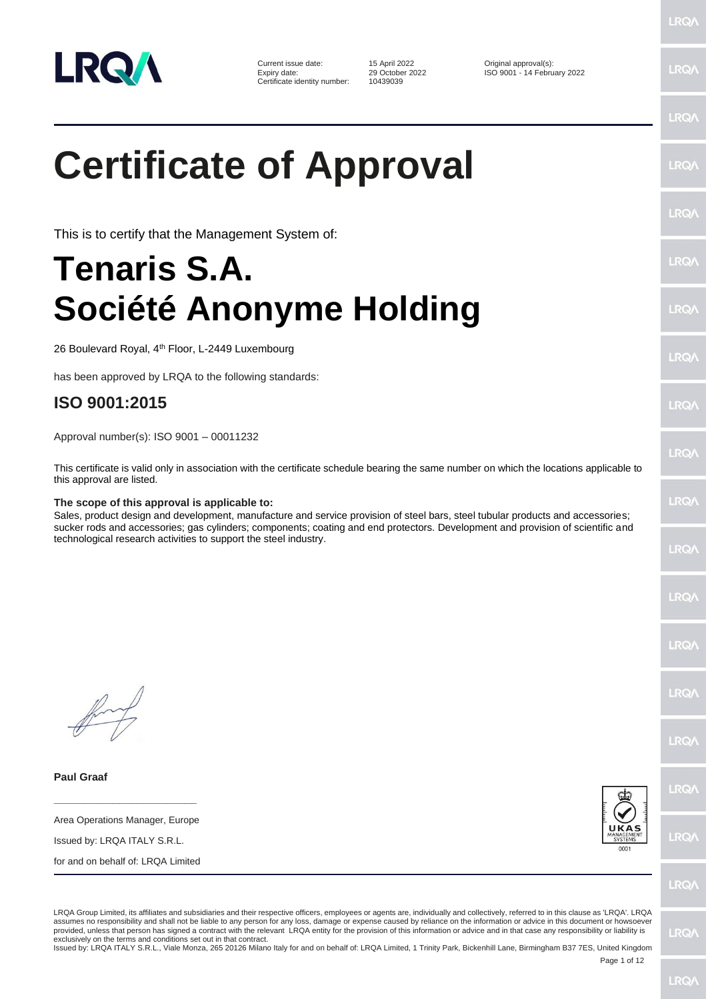

Current issue date: 15 April 2022 0riginal approval(s):<br>
Expiry date: 29 October 2022 150 9001 - 14 Febru Certificate identity number:

Expiry date: 29 October 2022 ISO 9001 - 14 February 2022

## **Certificate of Approval**

This is to certify that the Management System of:

## **Tenaris S.A. Société Anonyme Holding**

26 Boulevard Royal, 4<sup>th</sup> Floor, L-2449 Luxembourg

has been approved by LRQA to the following standards:

## **ISO 9001:2015**

Approval number(s): ISO 9001 – 00011232

This certificate is valid only in association with the certificate schedule bearing the same number on which the locations applicable to this approval are listed.

## **The scope of this approval is applicable to:**

Sales, product design and development, manufacture and service provision of steel bars, steel tubular products and accessories; sucker rods and accessories; gas cylinders; components; coating and end protectors. Development and provision of scientific and technological research activities to support the steel industry.

**Paul Graaf**

**\_\_\_\_\_\_\_\_\_\_\_\_\_\_\_\_\_\_\_\_\_\_\_\_** Area Operations Manager, Europe

Issued by: LRQA ITALY S.R.L.

for and on behalf of: LRQA Limited



**IRQ/** 

LRO/

LRQA Group Limited, its affiliates and subsidiaries and their respective officers, employees or agents are, individually and collectively, referred to in this clause as 'LRQA'. LRQA assumes no responsibility and shall not be liable to any person for any loss, damage or expense caused by reliance on the information or advice in this document or howsoever provided, unless that person has signed a contract with the relevant LRQA entity for the provision of this information or advice and in that case any responsibility or liability is exclusively on the terms and conditions set out in that contract.

Issued by: LRQA ITALY S.R.L., Viale Monza, 265 20126 Milano Italy for and on behalf of: LRQA Limited, 1 Trinity Park, Bickenhill Lane, Birmingham B37 7ES, United Kingdom

Page 1 of 12

**LRQ/** 

 $PQ$ 

**LRO/** 

LRQ/

LRQ/

LRQ/

 $PQ$ 

LRQ/

LRQ/

LRQ/

LRQ/

**IRQ/** 

LRQ/

LRQ/

LRQ/

LRQ/

LRQ/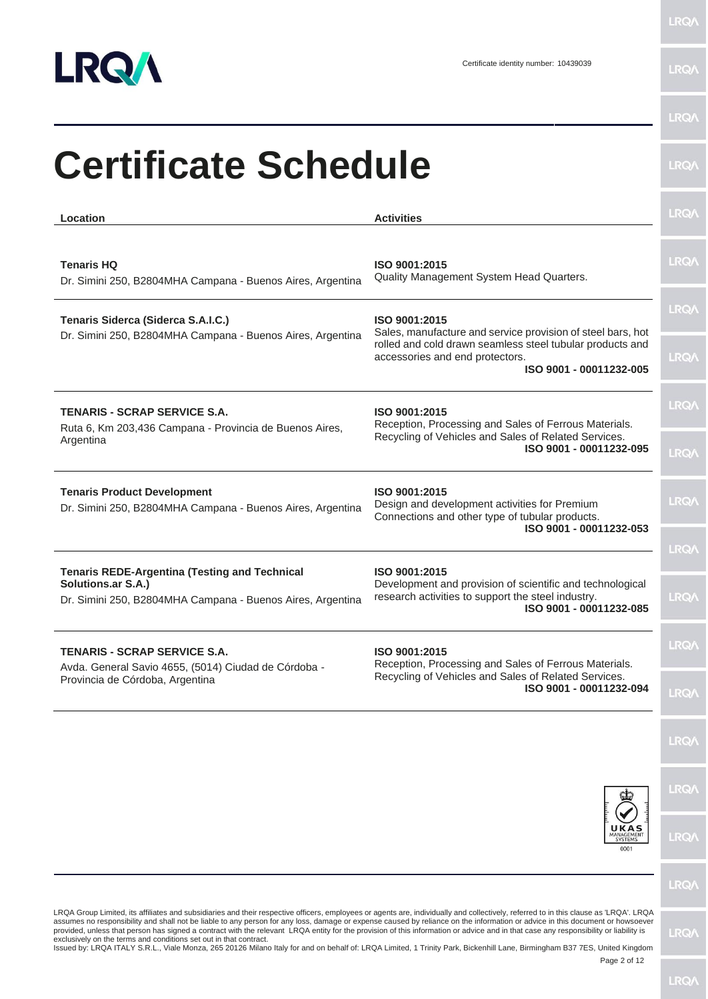

| Location                                                                                                                                 | <b>Activities</b>                                                                                                                                           | <b>LRQ/</b>                |
|------------------------------------------------------------------------------------------------------------------------------------------|-------------------------------------------------------------------------------------------------------------------------------------------------------------|----------------------------|
| <b>Tenaris HQ</b><br>Dr. Simini 250, B2804MHA Campana - Buenos Aires, Argentina                                                          | ISO 9001:2015<br>Quality Management System Head Quarters.                                                                                                   | <b>LRQA</b>                |
| Tenaris Siderca (Siderca S.A.I.C.)<br>Dr. Simini 250, B2804MHA Campana - Buenos Aires, Argentina                                         | ISO 9001:2015<br>Sales, manufacture and service provision of steel bars, hot<br>rolled and cold drawn seamless steel tubular products and                   | <b>LRQA</b>                |
|                                                                                                                                          | accessories and end protectors.<br>ISO 9001 - 00011232-005                                                                                                  | <b>LRQA</b>                |
| <b>TENARIS - SCRAP SERVICE S.A.</b><br>Ruta 6, Km 203,436 Campana - Provincia de Buenos Aires,                                           | ISO 9001:2015<br>Reception, Processing and Sales of Ferrous Materials.                                                                                      | <b>LRQA</b>                |
| Argentina                                                                                                                                | Recycling of Vehicles and Sales of Related Services.<br>ISO 9001 - 00011232-095                                                                             | <b>LRQA</b>                |
| <b>Tenaris Product Development</b><br>Dr. Simini 250, B2804MHA Campana - Buenos Aires, Argentina                                         | ISO 9001:2015<br>Design and development activities for Premium<br>Connections and other type of tubular products.<br>ISO 9001 - 00011232-053                | <b>LRQA</b>                |
| <b>Tenaris REDE-Argentina (Testing and Technical</b><br>Solutions.ar S.A.)<br>Dr. Simini 250, B2804MHA Campana - Buenos Aires, Argentina | ISO 9001:2015<br>Development and provision of scientific and technological<br>research activities to support the steel industry.<br>ISO 9001 - 00011232-085 | <b>LRQA</b><br><b>LRQA</b> |
| <b>TENARIS - SCRAP SERVICE S.A.</b><br>Avda. General Savio 4655, (5014) Ciudad de Córdoba -                                              | ISO 9001:2015<br>Reception, Processing and Sales of Ferrous Materials.                                                                                      | LRQ/                       |
| Provincia de Córdoba, Argentina                                                                                                          | Recycling of Vehicles and Sales of Related Services.<br>ISO 9001 - 00011232-094                                                                             | <b>LRQA</b>                |
|                                                                                                                                          |                                                                                                                                                             | <b>LRQA</b>                |
|                                                                                                                                          |                                                                                                                                                             | <b>LRQA</b>                |
|                                                                                                                                          | <b>SYSTEMS</b><br>0001                                                                                                                                      | <b>LRQA</b>                |
|                                                                                                                                          |                                                                                                                                                             | <b>LRQA</b>                |

Page 2 of 12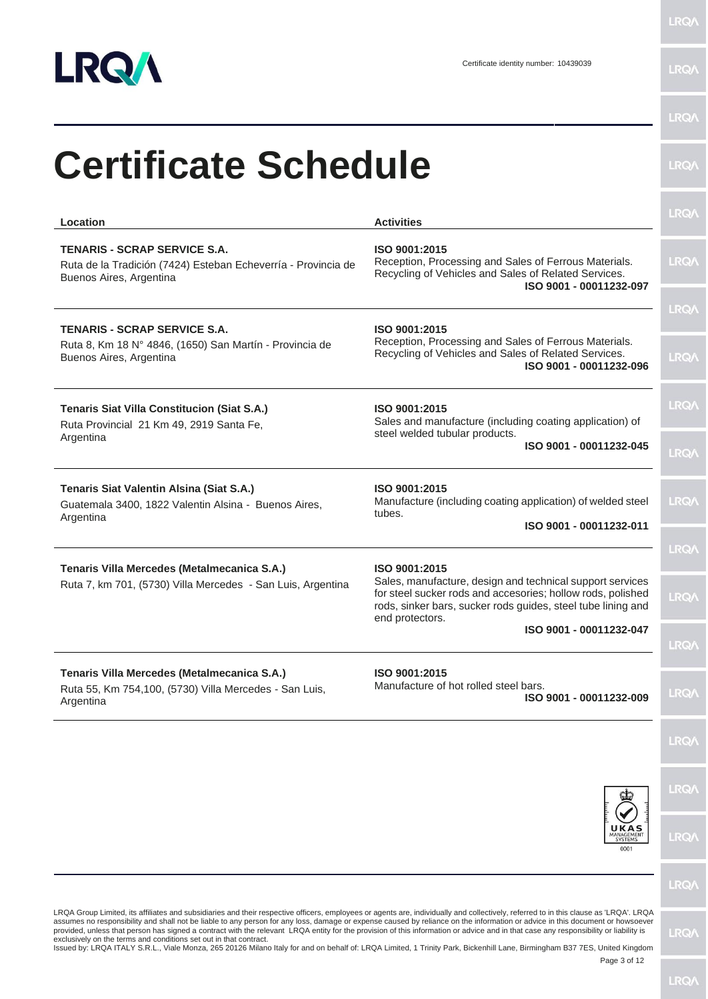

| Location                                                                                                                        | <b>Activities</b>                                                                                                                                                                                                            | <b>LRQ/</b>                |
|---------------------------------------------------------------------------------------------------------------------------------|------------------------------------------------------------------------------------------------------------------------------------------------------------------------------------------------------------------------------|----------------------------|
| <b>TENARIS - SCRAP SERVICE S.A.</b><br>Ruta de la Tradición (7424) Esteban Echeverría - Provincia de<br>Buenos Aires, Argentina | ISO 9001:2015<br>Reception, Processing and Sales of Ferrous Materials.<br>Recycling of Vehicles and Sales of Related Services.<br>ISO 9001 - 00011232-097                                                                    | <b>LRQA</b>                |
| <b>TENARIS - SCRAP SERVICE S.A.</b><br>Ruta 8, Km 18 N° 4846, (1650) San Martín - Provincia de<br>Buenos Aires, Argentina       | ISO 9001:2015<br>Reception, Processing and Sales of Ferrous Materials.<br>Recycling of Vehicles and Sales of Related Services.<br>ISO 9001 - 00011232-096                                                                    | <b>LRQA</b><br><b>LRQA</b> |
| <b>Tenaris Siat Villa Constitucion (Siat S.A.)</b><br>Ruta Provincial 21 Km 49, 2919 Santa Fe,<br>Argentina                     | ISO 9001:2015<br>Sales and manufacture (including coating application) of<br>steel welded tubular products.<br>ISO 9001 - 00011232-045                                                                                       | <b>LRQA</b>                |
|                                                                                                                                 |                                                                                                                                                                                                                              | <b>LRQA</b>                |
| Tenaris Siat Valentin Alsina (Siat S.A.)<br>Guatemala 3400, 1822 Valentin Alsina - Buenos Aires,<br>Argentina                   | ISO 9001:2015<br>Manufacture (including coating application) of welded steel<br>tubes.<br>ISO 9001 - 00011232-011                                                                                                            | <b>LRQA</b>                |
|                                                                                                                                 |                                                                                                                                                                                                                              | <b>LRQA</b>                |
| Tenaris Villa Mercedes (Metalmecanica S.A.)<br>Ruta 7, km 701, (5730) Villa Mercedes - San Luis, Argentina                      | ISO 9001:2015<br>Sales, manufacture, design and technical support services<br>for steel sucker rods and accesories; hollow rods, polished<br>rods, sinker bars, sucker rods guides, steel tube lining and<br>end protectors. | <b>LRQA</b>                |
|                                                                                                                                 | ISO 9001 - 00011232-047                                                                                                                                                                                                      | <b>LRQ/</b>                |
| Tenaris Villa Mercedes (Metalmecanica S.A.)<br>Ruta 55, Km 754,100, (5730) Villa Mercedes - San Luis,<br>Argentina              | ISO 9001:2015<br>Manufacture of hot rolled steel bars.<br>ISO 9001 - 00011232-009                                                                                                                                            | <b>LRQA</b>                |
|                                                                                                                                 |                                                                                                                                                                                                                              | <b>LRQA</b>                |
|                                                                                                                                 |                                                                                                                                                                                                                              | <b>LRQA</b>                |
|                                                                                                                                 | <b>SYSTEMS</b><br>0001                                                                                                                                                                                                       | <b>LRQA</b>                |
|                                                                                                                                 |                                                                                                                                                                                                                              | <b>LRQA</b>                |

Page 3 of 12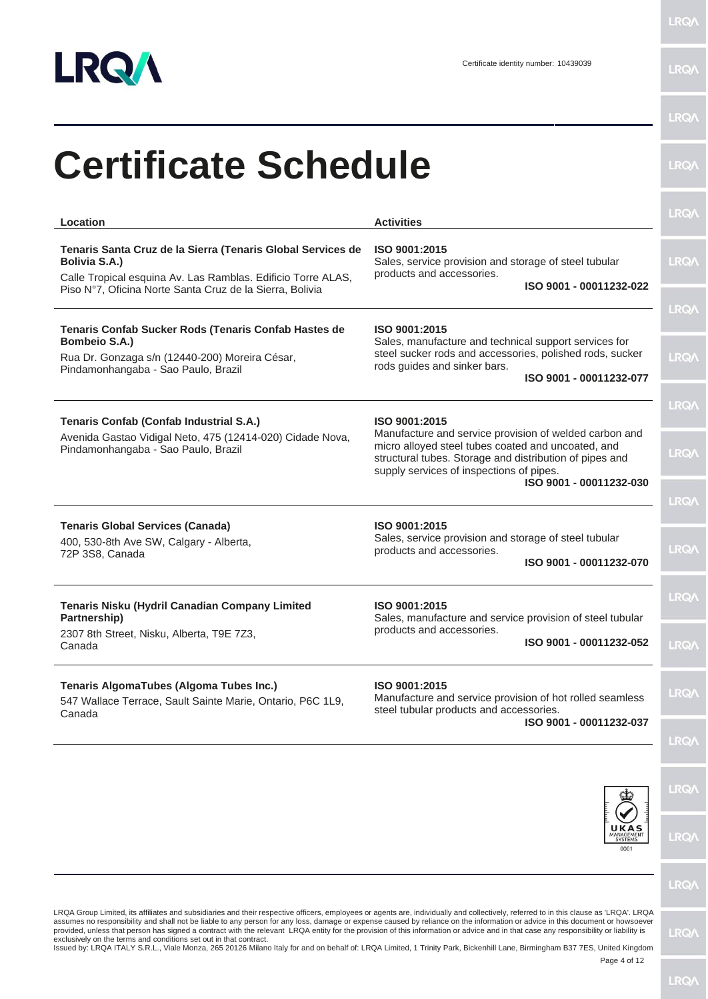

| Location                                                                                                                                                                                                        | <b>Activities</b>                                                                                                                                                                                                                              | <b>LRQA</b>                |
|-----------------------------------------------------------------------------------------------------------------------------------------------------------------------------------------------------------------|------------------------------------------------------------------------------------------------------------------------------------------------------------------------------------------------------------------------------------------------|----------------------------|
| Tenaris Santa Cruz de la Sierra (Tenaris Global Services de<br><b>Bolivia S.A.)</b><br>Calle Tropical esquina Av. Las Ramblas. Edificio Torre ALAS,<br>Piso Nº7, Oficina Norte Santa Cruz de la Sierra, Bolivia | ISO 9001:2015<br>Sales, service provision and storage of steel tubular<br>products and accessories.<br>ISO 9001 - 00011232-022                                                                                                                 | <b>LRQA</b>                |
| Tenaris Confab Sucker Rods (Tenaris Confab Hastes de<br><b>Bombeio S.A.)</b><br>Rua Dr. Gonzaga s/n (12440-200) Moreira César,<br>Pindamonhangaba - Sao Paulo, Brazil                                           | ISO 9001:2015<br>Sales, manufacture and technical support services for<br>steel sucker rods and accessories, polished rods, sucker<br>rods guides and sinker bars.<br>ISO 9001 - 00011232-077                                                  | <b>LRQA</b><br><b>LRQA</b> |
| Tenaris Confab (Confab Industrial S.A.)                                                                                                                                                                         | ISO 9001:2015                                                                                                                                                                                                                                  | LRQ/\                      |
| Avenida Gastao Vidigal Neto, 475 (12414-020) Cidade Nova,<br>Pindamonhangaba - Sao Paulo, Brazil                                                                                                                | Manufacture and service provision of welded carbon and<br>micro alloyed steel tubes coated and uncoated, and<br>structural tubes. Storage and distribution of pipes and<br>supply services of inspections of pipes.<br>ISO 9001 - 00011232-030 | <b>LRQA</b>                |
|                                                                                                                                                                                                                 |                                                                                                                                                                                                                                                | <b>LRQA</b>                |
| <b>Tenaris Global Services (Canada)</b><br>400, 530-8th Ave SW, Calgary - Alberta,<br>72P 3S8, Canada                                                                                                           | ISO 9001:2015<br>Sales, service provision and storage of steel tubular<br>products and accessories.<br>ISO 9001 - 00011232-070                                                                                                                 | <b>LRQA</b>                |
| Tenaris Nisku (Hydril Canadian Company Limited<br>Partnership)                                                                                                                                                  | ISO 9001:2015<br>Sales, manufacture and service provision of steel tubular                                                                                                                                                                     | <b>LRQA</b>                |
| 2307 8th Street, Nisku, Alberta, T9E 7Z3,<br>Canada                                                                                                                                                             | products and accessories.<br>ISO 9001 - 00011232-052                                                                                                                                                                                           | <b>LRQ/</b>                |
| Tenaris AlgomaTubes (Algoma Tubes Inc.)<br>547 Wallace Terrace, Sault Sainte Marie, Ontario, P6C 1L9,<br>Canada                                                                                                 | ISO 9001:2015<br>Manufacture and service provision of hot rolled seamless<br>steel tubular products and accessories.                                                                                                                           | <b>LRQA</b>                |
|                                                                                                                                                                                                                 | ISO 9001 - 00011232-037                                                                                                                                                                                                                        | <b>LRQA</b>                |
|                                                                                                                                                                                                                 |                                                                                                                                                                                                                                                | <b>LRQA</b>                |
|                                                                                                                                                                                                                 | <b>SYSTEMS</b><br>0001                                                                                                                                                                                                                         | <b>LRQA</b>                |
|                                                                                                                                                                                                                 |                                                                                                                                                                                                                                                | <b>LRQA</b>                |
| LRQA Group Limited, its affiliates and subsidiaries and their respective officers, employees or agents are, individually and collectively, referred to in this clause as 'LRQA'. LRQA                           |                                                                                                                                                                                                                                                |                            |

provided, unless that person has signed a contract with the relevant LRQA entity for the provision of this information or advice and in that case any responsibility or liability is<br>exclusively on the terms and conditions s

Page 4 of 12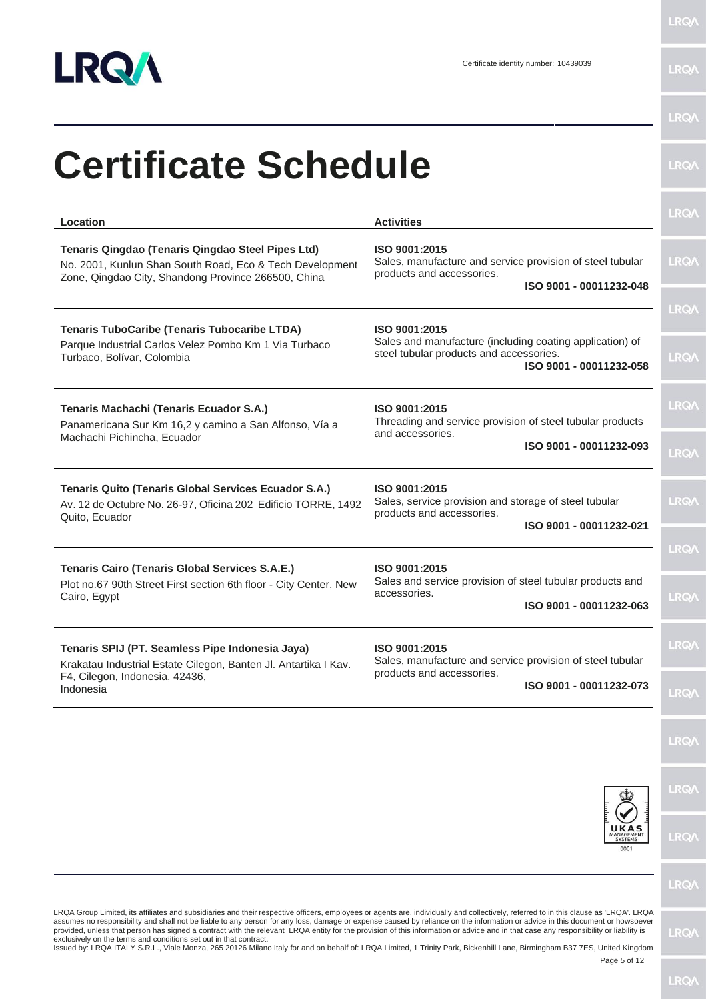

| Location                                                                                                                                                             | <b>Activities</b>                                                                                                                               | <b>LRQA</b>                |
|----------------------------------------------------------------------------------------------------------------------------------------------------------------------|-------------------------------------------------------------------------------------------------------------------------------------------------|----------------------------|
| Tenaris Qingdao (Tenaris Qingdao Steel Pipes Ltd)<br>No. 2001, Kunlun Shan South Road, Eco & Tech Development<br>Zone, Qingdao City, Shandong Province 266500, China | ISO 9001:2015<br>Sales, manufacture and service provision of steel tubular<br>products and accessories.<br>ISO 9001 - 00011232-048              | <b>LRQA</b>                |
|                                                                                                                                                                      |                                                                                                                                                 | <b>LRQA</b>                |
| <b>Tenaris TuboCaribe (Tenaris Tubocaribe LTDA)</b><br>Parque Industrial Carlos Velez Pombo Km 1 Via Turbaco<br>Turbaco, Bolívar, Colombia                           | ISO 9001:2015<br>Sales and manufacture (including coating application) of<br>steel tubular products and accessories.<br>ISO 9001 - 00011232-058 | <b>LRQA</b>                |
| Tenaris Machachi (Tenaris Ecuador S.A.)<br>Panamericana Sur Km 16,2 y camino a San Alfonso, Vía a                                                                    | ISO 9001:2015<br>Threading and service provision of steel tubular products<br>and accessories.                                                  | <b>LRQA</b>                |
| Machachi Pichincha, Ecuador                                                                                                                                          | ISO 9001 - 00011232-093                                                                                                                         | <b>LRQA</b>                |
| <b>Tenaris Quito (Tenaris Global Services Ecuador S.A.)</b><br>Av. 12 de Octubre No. 26-97, Oficina 202 Edificio TORRE, 1492<br>Quito, Ecuador                       | ISO 9001:2015<br>Sales, service provision and storage of steel tubular<br>products and accessories.<br>ISO 9001 - 00011232-021                  | <b>LRQA</b>                |
|                                                                                                                                                                      |                                                                                                                                                 | <b>LRQA</b>                |
| <b>Tenaris Cairo (Tenaris Global Services S.A.E.)</b><br>Plot no.67 90th Street First section 6th floor - City Center, New<br>Cairo, Egypt                           | ISO 9001:2015<br>Sales and service provision of steel tubular products and<br>accessories.<br>ISO 9001 - 00011232-063                           | <b>LRQA</b>                |
| Tenaris SPIJ (PT. Seamless Pipe Indonesia Jaya)                                                                                                                      | ISO 9001:2015                                                                                                                                   | <b>LRQ/</b>                |
| Krakatau Industrial Estate Cilegon, Banten Jl. Antartika I Kav.<br>F4, Cilegon, Indonesia, 42436,<br>Indonesia                                                       | Sales, manufacture and service provision of steel tubular<br>products and accessories.<br>ISO 9001 - 00011232-073                               | <b>LRQA</b>                |
|                                                                                                                                                                      |                                                                                                                                                 | <b>LRQA</b>                |
|                                                                                                                                                                      |                                                                                                                                                 | <b>LRQA</b>                |
|                                                                                                                                                                      |                                                                                                                                                 | LRQ/<br>MANAGEMENT<br>0001 |
|                                                                                                                                                                      |                                                                                                                                                 | <b>LRQA</b>                |

assumes no responsibility and shall not be liable to any person for any loss, damage or expense caused by reliance on the information or advice in this document or howsoever<br>provided, unless that person has signed a contra

Page 5 of 12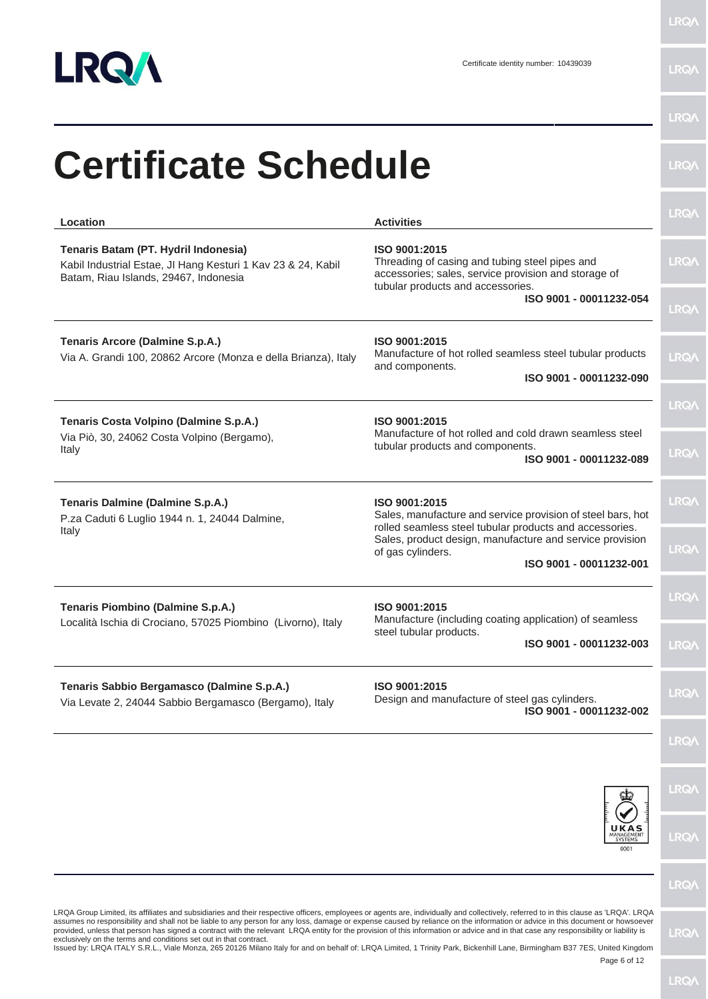

**LRQA** 

|                                                                                                                                                                                                                                                                                                                                                                                                                                                                                                                                                                                                                                     |                                                                                                                                                              | <b>LRQ/</b> |
|-------------------------------------------------------------------------------------------------------------------------------------------------------------------------------------------------------------------------------------------------------------------------------------------------------------------------------------------------------------------------------------------------------------------------------------------------------------------------------------------------------------------------------------------------------------------------------------------------------------------------------------|--------------------------------------------------------------------------------------------------------------------------------------------------------------|-------------|
| <b>Certificate Schedule</b>                                                                                                                                                                                                                                                                                                                                                                                                                                                                                                                                                                                                         |                                                                                                                                                              | <b>LRQ/</b> |
| Location                                                                                                                                                                                                                                                                                                                                                                                                                                                                                                                                                                                                                            | <b>Activities</b>                                                                                                                                            | <b>LRQA</b> |
| Tenaris Batam (PT. Hydril Indonesia)<br>Kabil Industrial Estae, JI Hang Kesturi 1 Kav 23 & 24, Kabil<br>Batam, Riau Islands, 29467, Indonesia                                                                                                                                                                                                                                                                                                                                                                                                                                                                                       | ISO 9001:2015<br>Threading of casing and tubing steel pipes and<br>accessories; sales, service provision and storage of<br>tubular products and accessories. | <b>LRQA</b> |
|                                                                                                                                                                                                                                                                                                                                                                                                                                                                                                                                                                                                                                     | ISO 9001 - 00011232-054                                                                                                                                      | <b>LRQA</b> |
| <b>Tenaris Arcore (Dalmine S.p.A.)</b><br>Via A. Grandi 100, 20862 Arcore (Monza e della Brianza), Italy                                                                                                                                                                                                                                                                                                                                                                                                                                                                                                                            | ISO 9001:2015<br>Manufacture of hot rolled seamless steel tubular products<br>and components.<br>ISO 9001 - 00011232-090                                     | <b>LRQA</b> |
|                                                                                                                                                                                                                                                                                                                                                                                                                                                                                                                                                                                                                                     |                                                                                                                                                              | LRQ/\       |
| Tenaris Costa Volpino (Dalmine S.p.A.)<br>Via Piò, 30, 24062 Costa Volpino (Bergamo),<br>Italy                                                                                                                                                                                                                                                                                                                                                                                                                                                                                                                                      | ISO 9001:2015<br>Manufacture of hot rolled and cold drawn seamless steel<br>tubular products and components.<br>ISO 9001 - 00011232-089                      | <b>LRQA</b> |
| Tenaris Dalmine (Dalmine S.p.A.)<br>P.za Caduti 6 Luglio 1944 n. 1, 24044 Dalmine,                                                                                                                                                                                                                                                                                                                                                                                                                                                                                                                                                  | ISO 9001:2015<br>Sales, manufacture and service provision of steel bars, hot<br>rolled seamless steel tubular products and accessories.                      | <b>LRQA</b> |
| Italy                                                                                                                                                                                                                                                                                                                                                                                                                                                                                                                                                                                                                               | Sales, product design, manufacture and service provision<br>of gas cylinders.<br>ISO 9001 - 00011232-001                                                     | <b>LRQA</b> |
| Tenaris Piombino (Dalmine S.p.A.)<br>Località Ischia di Crociano, 57025 Piombino (Livorno), Italy                                                                                                                                                                                                                                                                                                                                                                                                                                                                                                                                   | ISO 9001:2015<br>Manufacture (including coating application) of seamless                                                                                     | <b>LRQA</b> |
|                                                                                                                                                                                                                                                                                                                                                                                                                                                                                                                                                                                                                                     | steel tubular products.<br>ISO 9001 - 00011232-003                                                                                                           | <b>LRQA</b> |
| Tenaris Sabbio Bergamasco (Dalmine S.p.A.)<br>Via Levate 2, 24044 Sabbio Bergamasco (Bergamo), Italy                                                                                                                                                                                                                                                                                                                                                                                                                                                                                                                                | ISO 9001:2015<br>Design and manufacture of steel gas cylinders.<br>ISO 9001 - 00011232-002                                                                   | <b>LRQA</b> |
|                                                                                                                                                                                                                                                                                                                                                                                                                                                                                                                                                                                                                                     |                                                                                                                                                              | <b>LRQA</b> |
|                                                                                                                                                                                                                                                                                                                                                                                                                                                                                                                                                                                                                                     |                                                                                                                                                              | <b>LRQA</b> |
|                                                                                                                                                                                                                                                                                                                                                                                                                                                                                                                                                                                                                                     | UKAS<br>MANAGEMENT<br>0001                                                                                                                                   | <b>LRQA</b> |
|                                                                                                                                                                                                                                                                                                                                                                                                                                                                                                                                                                                                                                     |                                                                                                                                                              | <b>LRQA</b> |
| LRQA Group Limited, its affiliates and subsidiaries and their respective officers, employees or agents are, individually and collectively, referred to in this clause as 'LRQA'. LRQA<br>assumes no responsibility and shall not be liable to any person for any loss, damage or expense caused by reliance on the information or advice in this document or howsoever<br>provided, unless that person has signed a contract with the relevant LRQA entity for the provision of this information or advice and in that case any responsibility or liability is<br>exclusively on the terms and conditions set out in that contract. |                                                                                                                                                              | <b>LRQA</b> |

exclusively on the terms and conditions set out in that contract.<br>Issued by: LRQA ITALY S.R.L., Viale Monza, 265 20126 Milano Italy for and on behalf of: LRQA Limited, 1 Trinity Park, Bickenhill Lane, Birmingham B37 7ES, U

Page 6 of 12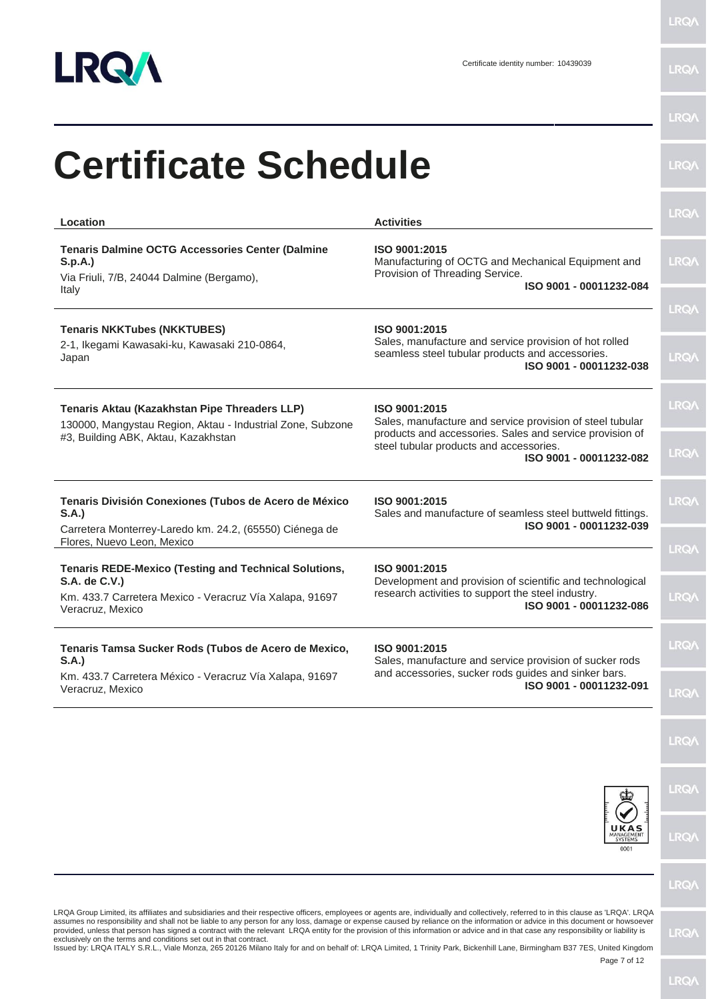

LRQ/\

|                                                                                                                                                                                                                                                                                                                                                                        |                                                                                                                                                                                      | <b>LRQA</b> |
|------------------------------------------------------------------------------------------------------------------------------------------------------------------------------------------------------------------------------------------------------------------------------------------------------------------------------------------------------------------------|--------------------------------------------------------------------------------------------------------------------------------------------------------------------------------------|-------------|
| <b>Certificate Schedule</b>                                                                                                                                                                                                                                                                                                                                            |                                                                                                                                                                                      | <b>LRQA</b> |
| Location                                                                                                                                                                                                                                                                                                                                                               | <b>Activities</b>                                                                                                                                                                    | <b>LRQA</b> |
| <b>Tenaris Dalmine OCTG Accessories Center (Dalmine</b><br>S.p.A.)<br>Via Friuli, 7/B, 24044 Dalmine (Bergamo),<br>Italy                                                                                                                                                                                                                                               | ISO 9001:2015<br>Manufacturing of OCTG and Mechanical Equipment and<br>Provision of Threading Service.<br>ISO 9001 - 00011232-084                                                    | <b>LRQA</b> |
|                                                                                                                                                                                                                                                                                                                                                                        |                                                                                                                                                                                      | <b>LRQA</b> |
| <b>Tenaris NKKTubes (NKKTUBES)</b><br>2-1, Ikegami Kawasaki-ku, Kawasaki 210-0864,<br>Japan                                                                                                                                                                                                                                                                            | ISO 9001:2015<br>Sales, manufacture and service provision of hot rolled<br>seamless steel tubular products and accessories.<br>ISO 9001 - 00011232-038                               | <b>LRQA</b> |
| Tenaris Aktau (Kazakhstan Pipe Threaders LLP)<br>130000, Mangystau Region, Aktau - Industrial Zone, Subzone                                                                                                                                                                                                                                                            | ISO 9001:2015<br>Sales, manufacture and service provision of steel tubular<br>products and accessories. Sales and service provision of                                               | LRQ/        |
| #3, Building ABK, Aktau, Kazakhstan                                                                                                                                                                                                                                                                                                                                    | steel tubular products and accessories.<br>ISO 9001 - 00011232-082                                                                                                                   | <b>LRQA</b> |
| Tenaris División Conexiones (Tubos de Acero de México<br>S.A.                                                                                                                                                                                                                                                                                                          | ISO 9001:2015<br>Sales and manufacture of seamless steel buttweld fittings.                                                                                                          | <b>LRQA</b> |
| Carretera Monterrey-Laredo km. 24.2, (65550) Ciénega de<br>Flores, Nuevo Leon, Mexico                                                                                                                                                                                                                                                                                  | ISO 9001 - 00011232-039                                                                                                                                                              | <b>LRQA</b> |
| <b>Tenaris REDE-Mexico (Testing and Technical Solutions,</b><br>S.A. de C.V.)<br>Km. 433.7 Carretera Mexico - Veracruz Vía Xalapa, 91697                                                                                                                                                                                                                               | ISO 9001:2015<br>Development and provision of scientific and technological<br>research activities to support the steel industry.                                                     | <b>LRQA</b> |
| Veracruz, Mexico                                                                                                                                                                                                                                                                                                                                                       | ISO 9001 - 00011232-086                                                                                                                                                              |             |
| Tenaris Tamsa Sucker Rods (Tubos de Acero de Mexico,<br>S.A.                                                                                                                                                                                                                                                                                                           | ISO 9001:2015<br>Sales, manufacture and service provision of sucker rods                                                                                                             | <b>LRQA</b> |
| Km. 433.7 Carretera México - Veracruz Vía Xalapa, 91697<br>Veracruz, Mexico                                                                                                                                                                                                                                                                                            | and accessories, sucker rods guides and sinker bars.<br>ISO 9001 - 00011232-091                                                                                                      | <b>LRQA</b> |
|                                                                                                                                                                                                                                                                                                                                                                        |                                                                                                                                                                                      | <b>LRQ/</b> |
|                                                                                                                                                                                                                                                                                                                                                                        |                                                                                                                                                                                      | <b>LRQA</b> |
|                                                                                                                                                                                                                                                                                                                                                                        | ANAGEMEN<br>SYSTEMS<br>0001                                                                                                                                                          | <b>LRQA</b> |
|                                                                                                                                                                                                                                                                                                                                                                        |                                                                                                                                                                                      | <b>LRQA</b> |
| LRQA Group Limited, its affiliates and subsidiaries and their respective officers, employees or agents are, individually and collectively, referred to in this clause as 'LRQA'. LRQA<br>assumes no responsibility and shall not be liable to any person for any loss, damage or expense caused by reliance on the information or advice in this document or howsoever | provided, unless that person has signed a contract with the relevant LRQA entity for the provision of this information or advice and in that case any responsibility or liability is |             |

provided, unless that person has signed a contract with the relevant LRQA entity for the provision of this information or advice and in that case any responsibility or liability is<br>exclusively on the terms and conditions s

Page 7 of 12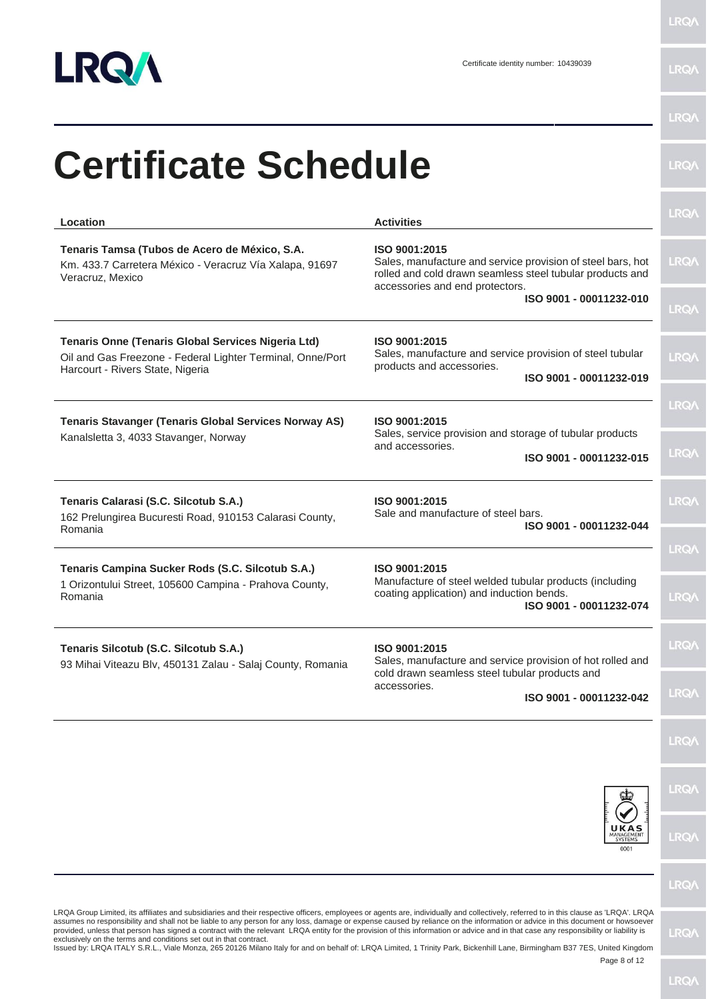

LRQ/\

|                                                                                                                                                                                                                                                                                                                                                                                                                                                                                                                                                                                                                                                                                                                                                                                                                  |                                                                                                                                                                              | <b>LRQA</b> |
|------------------------------------------------------------------------------------------------------------------------------------------------------------------------------------------------------------------------------------------------------------------------------------------------------------------------------------------------------------------------------------------------------------------------------------------------------------------------------------------------------------------------------------------------------------------------------------------------------------------------------------------------------------------------------------------------------------------------------------------------------------------------------------------------------------------|------------------------------------------------------------------------------------------------------------------------------------------------------------------------------|-------------|
| <b>Certificate Schedule</b>                                                                                                                                                                                                                                                                                                                                                                                                                                                                                                                                                                                                                                                                                                                                                                                      |                                                                                                                                                                              | <b>LRQA</b> |
| Location                                                                                                                                                                                                                                                                                                                                                                                                                                                                                                                                                                                                                                                                                                                                                                                                         | <b>Activities</b>                                                                                                                                                            | <b>LRQA</b> |
| Tenaris Tamsa (Tubos de Acero de México, S.A.<br>Km. 433.7 Carretera México - Veracruz Vía Xalapa, 91697<br>Veracruz, Mexico                                                                                                                                                                                                                                                                                                                                                                                                                                                                                                                                                                                                                                                                                     | ISO 9001:2015<br>Sales, manufacture and service provision of steel bars, hot<br>rolled and cold drawn seamless steel tubular products and<br>accessories and end protectors. | <b>LRQA</b> |
|                                                                                                                                                                                                                                                                                                                                                                                                                                                                                                                                                                                                                                                                                                                                                                                                                  | ISO 9001 - 00011232-010                                                                                                                                                      | <b>LRQA</b> |
| <b>Tenaris Onne (Tenaris Global Services Nigeria Ltd)</b><br>Oil and Gas Freezone - Federal Lighter Terminal, Onne/Port<br>Harcourt - Rivers State, Nigeria                                                                                                                                                                                                                                                                                                                                                                                                                                                                                                                                                                                                                                                      | ISO 9001:2015<br>Sales, manufacture and service provision of steel tubular<br>products and accessories.                                                                      | <b>LRQA</b> |
|                                                                                                                                                                                                                                                                                                                                                                                                                                                                                                                                                                                                                                                                                                                                                                                                                  | ISO 9001 - 00011232-019                                                                                                                                                      | <b>LRQA</b> |
| <b>Tenaris Stavanger (Tenaris Global Services Norway AS)</b>                                                                                                                                                                                                                                                                                                                                                                                                                                                                                                                                                                                                                                                                                                                                                     | ISO 9001:2015<br>Sales, service provision and storage of tubular products                                                                                                    |             |
| Kanalsletta 3, 4033 Stavanger, Norway                                                                                                                                                                                                                                                                                                                                                                                                                                                                                                                                                                                                                                                                                                                                                                            | and accessories.<br>ISO 9001 - 00011232-015                                                                                                                                  | <b>LRQA</b> |
| Tenaris Calarasi (S.C. Silcotub S.A.)<br>162 Prelungirea Bucuresti Road, 910153 Calarasi County,<br>Romania                                                                                                                                                                                                                                                                                                                                                                                                                                                                                                                                                                                                                                                                                                      | ISO 9001:2015<br>Sale and manufacture of steel bars.<br>ISO 9001 - 00011232-044                                                                                              | <b>LRQA</b> |
|                                                                                                                                                                                                                                                                                                                                                                                                                                                                                                                                                                                                                                                                                                                                                                                                                  |                                                                                                                                                                              | <b>LRQA</b> |
| Tenaris Campina Sucker Rods (S.C. Silcotub S.A.)<br>1 Orizontului Street, 105600 Campina - Prahova County,<br>Romania                                                                                                                                                                                                                                                                                                                                                                                                                                                                                                                                                                                                                                                                                            | ISO 9001:2015<br>Manufacture of steel welded tubular products (including<br>coating application) and induction bends.<br>ISO 9001 - 00011232-074                             | <b>LRQA</b> |
| Tenaris Silcotub (S.C. Silcotub S.A.)<br>93 Mihai Viteazu Blv, 450131 Zalau - Salaj County, Romania                                                                                                                                                                                                                                                                                                                                                                                                                                                                                                                                                                                                                                                                                                              | ISO 9001:2015<br>Sales, manufacture and service provision of hot rolled and                                                                                                  | <b>LRQ/</b> |
|                                                                                                                                                                                                                                                                                                                                                                                                                                                                                                                                                                                                                                                                                                                                                                                                                  | cold drawn seamless steel tubular products and<br>accessories.<br>ISO 9001 - 00011232-042                                                                                    | <b>LRQA</b> |
|                                                                                                                                                                                                                                                                                                                                                                                                                                                                                                                                                                                                                                                                                                                                                                                                                  |                                                                                                                                                                              | <b>LRQA</b> |
|                                                                                                                                                                                                                                                                                                                                                                                                                                                                                                                                                                                                                                                                                                                                                                                                                  |                                                                                                                                                                              | <b>LRQA</b> |
|                                                                                                                                                                                                                                                                                                                                                                                                                                                                                                                                                                                                                                                                                                                                                                                                                  | 0001                                                                                                                                                                         | <b>LRQA</b> |
|                                                                                                                                                                                                                                                                                                                                                                                                                                                                                                                                                                                                                                                                                                                                                                                                                  |                                                                                                                                                                              | <b>LRQA</b> |
| LRQA Group Limited, its affiliates and subsidiaries and their respective officers, employees or agents are, individually and collectively, referred to in this clause as 'LRQA'. LRQA<br>assumes no responsibility and shall not be liable to any person for any loss, damage or expense caused by reliance on the information or advice in this document or howsoever<br>provided, unless that person has signed a contract with the relevant LRQA entity for the provision of this information or advice and in that case any responsibility or liability is<br>exclusively on the terms and conditions set out in that contract.<br>Issued by: LRQA ITALY S.R.L., Viale Monza, 265 20126 Milano Italy for and on behalf of: LRQA Limited, 1 Trinity Park, Bickenhill Lane, Birmingham B37 7ES, United Kingdom | Page 8 of 12                                                                                                                                                                 | <b>LRQA</b> |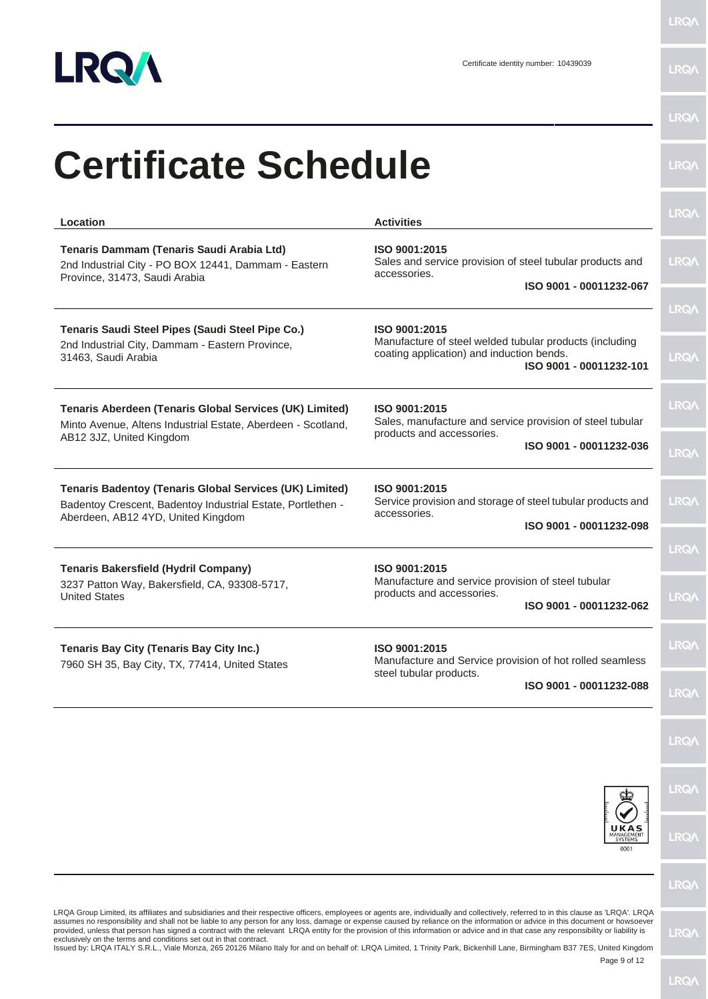

| <b>Certificate Schedule</b>                                                                                                                                         |                                                                                                                                                    | <b>LRQA</b>                |
|---------------------------------------------------------------------------------------------------------------------------------------------------------------------|----------------------------------------------------------------------------------------------------------------------------------------------------|----------------------------|
| Location                                                                                                                                                            | <b>Activities</b>                                                                                                                                  | <b>LRQA</b>                |
| Tenaris Dammam (Tenaris Saudi Arabia Ltd)<br>2nd Industrial City - PO BOX 12441, Dammam - Eastern<br>Province, 31473, Saudi Arabia                                  | ISO 9001:2015<br>Sales and service provision of steel tubular products and<br>accessories.<br>ISO 9001 - 00011232-067                              | <b>LRQA</b>                |
| Tenaris Saudi Steel Pipes (Saudi Steel Pipe Co.)<br>2nd Industrial City, Dammam - Eastern Province,<br>31463, Saudi Arabia                                          | ISO 9001:2015<br>Manufacture of steel welded tubular products (including<br>coating application) and induction bends.<br>ISO 9001 - 00011232-101   | <b>LRQA</b><br><b>LRQA</b> |
| <b>Tenaris Aberdeen (Tenaris Global Services (UK) Limited)</b><br>Minto Avenue, Altens Industrial Estate, Aberdeen - Scotland,<br>AB12 3JZ, United Kingdom          | ISO 9001:2015<br>Sales, manufacture and service provision of steel tubular<br>products and accessories.                                            | <b>LRQA</b>                |
| <b>Tenaris Badentoy (Tenaris Global Services (UK) Limited)</b><br>Badentoy Crescent, Badentoy Industrial Estate, Portlethen -<br>Aberdeen, AB12 4YD, United Kingdom | ISO 9001 - 00011232-036<br>ISO 9001:2015<br>Service provision and storage of steel tubular products and<br>accessories.<br>ISO 9001 - 00011232-098 | <b>LRQA</b><br><b>LRQA</b> |
| <b>Tenaris Bakersfield (Hydril Company)</b><br>3237 Patton Way, Bakersfield, CA, 93308-5717,<br><b>United States</b>                                                | ISO 9001:2015<br>Manufacture and service provision of steel tubular<br>products and accessories.<br>ISO 9001 - 00011232-062                        | <b>LRQA</b><br><b>LRQA</b> |
| Tenaris Bay City (Tenaris Bay City Inc.)<br>7960 SH 35, Bay City, TX, 77414, United States                                                                          | ISO 9001:2015<br>Manufacture and Service provision of hot rolled seamless<br>steel tubular products.<br>ISO 9001 - 00011232-088                    | <b>LRQA</b><br><b>LRQA</b> |
|                                                                                                                                                                     |                                                                                                                                                    | <b>LRQA</b>                |
|                                                                                                                                                                     |                                                                                                                                                    | <b>LRQA</b>                |
|                                                                                                                                                                     | <b>MANAGEMEN</b><br><b>SYSTEMS</b><br>0001                                                                                                         | <b>LRQA</b>                |
|                                                                                                                                                                     |                                                                                                                                                    | <b>LRQA</b>                |

provided, unless that person has signed a contract with the relevant LRQA entity for the provision of this information or advice and in that case any responsibility or liability is<br>exclusively on the terms and conditions s

Page 9 of 12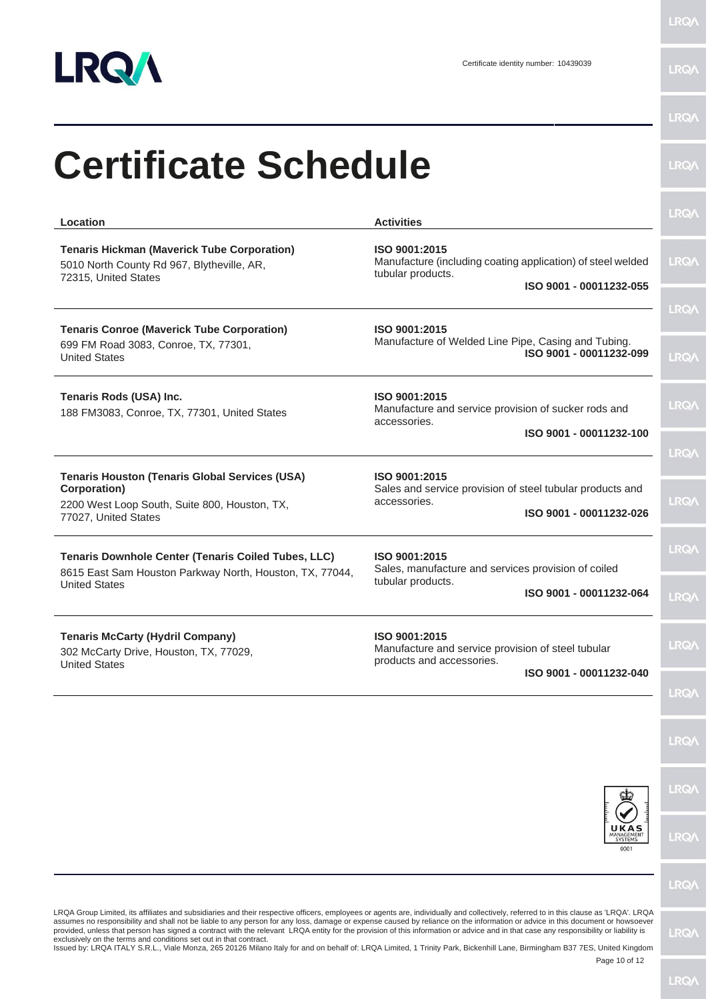

| <b>Certificate Schedule</b>                                                                                                                    |                                                                                                                              | <b>LRQA</b>                |
|------------------------------------------------------------------------------------------------------------------------------------------------|------------------------------------------------------------------------------------------------------------------------------|----------------------------|
| Location                                                                                                                                       | <b>Activities</b>                                                                                                            | <b>LRQA</b>                |
| <b>Tenaris Hickman (Maverick Tube Corporation)</b><br>5010 North County Rd 967, Blytheville, AR,<br>72315, United States                       | ISO 9001:2015<br>Manufacture (including coating application) of steel welded<br>tubular products.<br>ISO 9001 - 00011232-055 | <b>LRQA</b>                |
| <b>Tenaris Conroe (Maverick Tube Corporation)</b><br>699 FM Road 3083, Conroe, TX, 77301,<br><b>United States</b>                              | ISO 9001:2015<br>Manufacture of Welded Line Pipe, Casing and Tubing.<br>ISO 9001 - 00011232-099                              | <b>LRQA</b><br><b>LRQA</b> |
| Tenaris Rods (USA) Inc.<br>188 FM3083, Conroe, TX, 77301, United States                                                                        | ISO 9001:2015<br>Manufacture and service provision of sucker rods and<br>accessories.<br>ISO 9001 - 00011232-100             | <b>LRQA</b>                |
| <b>Tenaris Houston (Tenaris Global Services (USA)</b><br>Corporation)<br>2200 West Loop South, Suite 800, Houston, TX,<br>77027, United States | ISO 9001:2015<br>Sales and service provision of steel tubular products and<br>accessories.<br>ISO 9001 - 00011232-026        | <b>LRQA</b><br><b>LRQA</b> |
| Tenaris Downhole Center (Tenaris Coiled Tubes, LLC)<br>8615 East Sam Houston Parkway North, Houston, TX, 77044,<br><b>United States</b>        | ISO 9001:2015<br>Sales, manufacture and services provision of coiled<br>tubular products.<br>ISO 9001 - 00011232-064         | <b>LRQA</b><br><b>LRQA</b> |
| <b>Tenaris McCarty (Hydril Company)</b><br>302 McCarty Drive, Houston, TX, 77029,<br><b>United States</b>                                      | ISO 9001:2015<br>Manufacture and service provision of steel tubular<br>products and accessories.<br>ISO 9001 - 00011232-040  | <b>LRQA</b>                |
|                                                                                                                                                |                                                                                                                              | <b>LRQA</b><br><b>LRQA</b> |
|                                                                                                                                                |                                                                                                                              | <b>LRQA</b>                |
|                                                                                                                                                | UKAS<br>MANAGEMENT<br>0001                                                                                                   | <b>LRQA</b>                |
|                                                                                                                                                |                                                                                                                              | <b>LRQA</b>                |

exclusively on the terms and conditions set out in that contract.<br>Issued by: LRQA ITALY S.R.L., Viale Monza, 265 20126 Milano Italy for and on behalf of: LRQA Limited, 1 Trinity Park, Bickenhill Lane, Birmingham B37 7ES, U

Page 10 of 12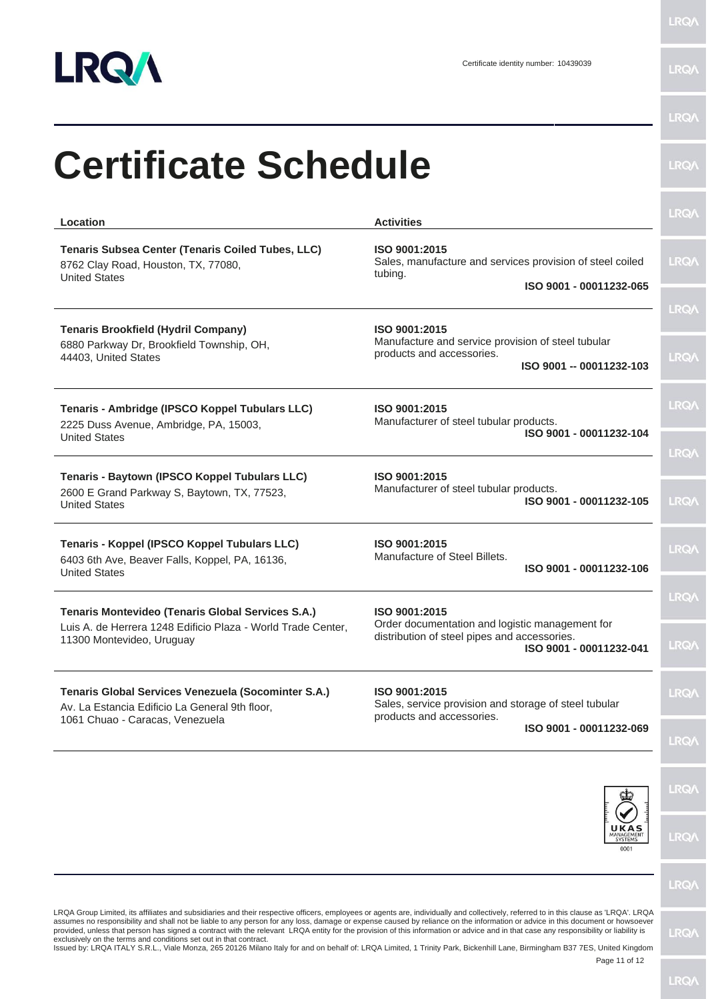

| <b>Certificate Schedule</b>                                                                                                              |                                                                                                                              | LRQ/        |
|------------------------------------------------------------------------------------------------------------------------------------------|------------------------------------------------------------------------------------------------------------------------------|-------------|
| Location                                                                                                                                 | <b>Activities</b>                                                                                                            | <b>LRQA</b> |
| Tenaris Subsea Center (Tenaris Coiled Tubes, LLC)<br>8762 Clay Road, Houston, TX, 77080,<br><b>United States</b>                         | ISO 9001:2015<br>Sales, manufacture and services provision of steel coiled<br>tubing.<br>ISO 9001 - 00011232-065             | <b>LRQA</b> |
|                                                                                                                                          |                                                                                                                              | <b>LRQA</b> |
| <b>Tenaris Brookfield (Hydril Company)</b><br>6880 Parkway Dr, Brookfield Township, OH,<br>44403, United States                          | ISO 9001:2015<br>Manufacture and service provision of steel tubular<br>products and accessories.<br>ISO 9001 -- 00011232-103 | <b>LRQA</b> |
| Tenaris - Ambridge (IPSCO Koppel Tubulars LLC)<br>2225 Duss Avenue, Ambridge, PA, 15003,<br><b>United States</b>                         | ISO 9001:2015<br>Manufacturer of steel tubular products.<br>ISO 9001 - 00011232-104                                          | LRQ/        |
|                                                                                                                                          |                                                                                                                              | <b>LRQA</b> |
| Tenaris - Baytown (IPSCO Koppel Tubulars LLC)<br>2600 E Grand Parkway S, Baytown, TX, 77523,<br><b>United States</b>                     | ISO 9001:2015<br>Manufacturer of steel tubular products.<br>ISO 9001 - 00011232-105                                          | <b>LRQA</b> |
| Tenaris - Koppel (IPSCO Koppel Tubulars LLC)<br>6403 6th Ave, Beaver Falls, Koppel, PA, 16136,<br><b>United States</b>                   | ISO 9001:2015<br>Manufacture of Steel Billets.<br>ISO 9001 - 00011232-106                                                    | <b>LRQA</b> |
| Tenaris Montevideo (Tenaris Global Services S.A.)                                                                                        | ISO 9001:2015                                                                                                                | <b>LRQA</b> |
| Luis A. de Herrera 1248 Edificio Plaza - World Trade Center.<br>11300 Montevideo, Uruguay                                                | Order documentation and logistic management for<br>distribution of steel pipes and accessories.<br>ISO 9001 - 00011232-041   | <b>LRQA</b> |
| Tenaris Global Services Venezuela (Socominter S.A.)<br>Av. La Estancia Edificio La General 9th floor,<br>1061 Chuao - Caracas, Venezuela | ISO 9001:2015<br>Sales, service provision and storage of steel tubular<br>products and accessories.                          | <b>LRQ/</b> |
|                                                                                                                                          | ISO 9001 - 00011232-069                                                                                                      | <b>LRQA</b> |
|                                                                                                                                          |                                                                                                                              | <b>LRQA</b> |
|                                                                                                                                          | UKAS<br>MANAGEMENT<br>0001                                                                                                   | <b>LRQA</b> |
|                                                                                                                                          |                                                                                                                              | <b>LRQ/</b> |

co, United Kingdom<br>Page 11 of 12